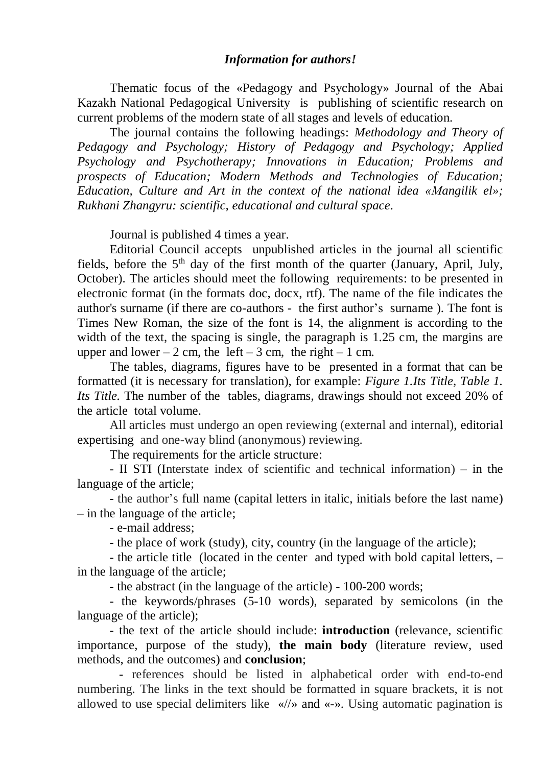### *Information for authors!*

Thematic focus of the «Pedagogy and Psychology» Journal of the Abai Kazakh National Pedagogical University is publishing of scientific research on current problems of the modern state of all stages and levels of education.

The journal contains the following headings: *Methodology and Theory of Pedagogy and Psychology; History of Pedagogy and Psychology; Applied Psychology and Psychotherapy; Innovations in Education; Problems and prospects of Education; Modern Methods and Technologies of Education; Education, Culture and Art in the context of the national idea «Мangilik el»; Rukhani Zhangyru: scientific, educational and cultural space.*

Journal is published 4 times a year.

Editorial Council accepts unpublished artiсles in the journal all scientific fields, before the  $5<sup>th</sup>$  day of the first month of the quarter (January, April, July, October). The articles should meet the following requirements: to be presented in electronic format (in the formats doc, docx, rtf). The name of the file indicates the author's surname (if there are co-authors - the first author's surname ). The font is Times New Roman, the size of the font is 14, the alignment is according to the width of the text, the spacing is single, the paragraph is 1.25 cm, the margins are upper and lower – 2 cm, the left – 3 cm, the right – 1 cm.

The tables, diagrams, figures have to be presented in a format that can be formatted (it is necessary for translation), for example: *Figure 1.Its Title, Table 1. Its Title.* The number of the tables, diagrams, drawings should not exceed 20% of the article total volume.

All articles must undergo an open reviewing (external and internal), editorial expertising and one-way blind (anonymous) reviewing.

The requirements for the article structure:

- II STI (Interstate index of scientific and technical information) – in the language of the article;

- the author's full name (capital letters in italic, initials before the last name) – in the language of the article;

- e-mail address;

- the place of work (study), city, country (in the language of the article);

- the article title (located in the center and typed with bold capital letters, – in the language of the article;

- the abstract (in the language of the article) - 100-200 words;

- the keywords/phrases (5-10 words), separated by semicolons (in the language of the article);

- the text of the article should include: **introduction** (relevance, scientific importance, purpose of the study), **the main body** (literature review, used methods, and the outcomes) and **conclusion**;

- references should be listed in alphabetical order with end-to-end numbering. The links in the text should be formatted in square brackets, it is not allowed to use special delimiters like «//» and «-». Using automatic pagination is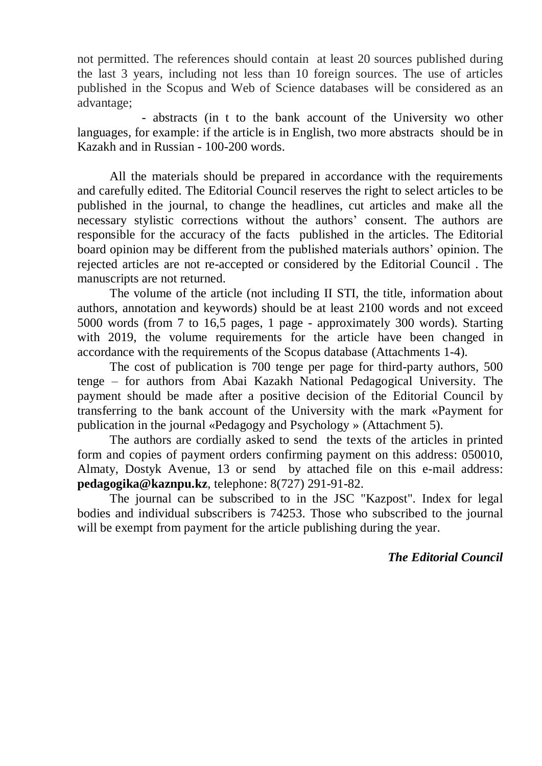not permitted. The references should contain at least 20 sources published during the last 3 years, including not less than 10 foreign sources. The use of articles published in the Scopus and Web of Science databases will be considered as an advantage;

- abstracts (in t to the bank account of the University wo other languages, for example: if the article is in English, two more abstracts should be in Kazakh and in Russian - 100-200 words.

All the materials should be prepared in accordance with the requirements and carefully edited. The Editorial Council reserves the right to select articles to be published in the journal, to change the headlines, cut articles and make all the necessary stylistic corrections without the authors' consent. The authors are responsible for the accuracy of the facts published in the articles. The Еditorial board opinion may be different from the published materials authors' opinion. The rejected articles are not re-accepted or considered by the Editorial Council . The manuscripts are not returned.

The volume of the article (not including II STI, the title, information about authors, annotation and keywords) should be at least 2100 words and not exceed 5000 words (from 7 to 16,5 pages, 1 page - approximately 300 words). Starting with 2019, the volume requirements for the article have been changed in accordance with the requirements of the Scopus database (Attachments 1-4).

The cost of publication is 700 tenge per page for third-party authors, 500 tenge – for authors from Abai Kazakh National Pedagogical University. The payment should be made after a positive decision of the Editorial Council by transferring to the bank account of the University with the mark «Рayment for publication in the journal «Pedagogy and Psychology » (Attachment 5).

The authors are cordially asked to send the texts of the articles in printed form and copies of payment orders confirming payment on this address: 050010, Almaty, Dostyk Avenue, 13 or send by attached file on this e-mail address: **[pedagogika@kaznpu.kz](mailto:pedagogika@kaznpu.kz)**, telephone: 8(727) 291-91-82.

The journal can be subscribed to in the JSC "Kazpost". Index for legal bodies and individual subscribers is 74253. Those who subscribed to the journal will be exempt from payment for the article publishing during the year.

## *The Editorial Council*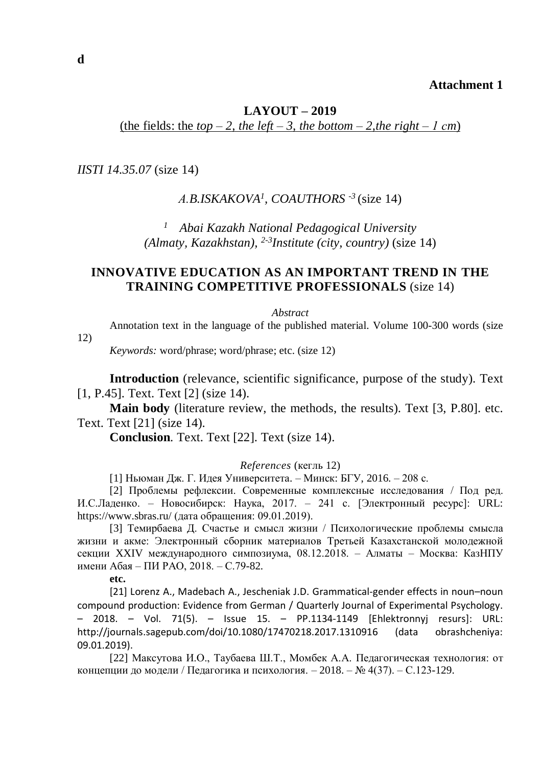### **Attachment 1**

## **LAYOUT – 2019** (the fields: the  $top-2$ , the left – 3, the bottom – 2, the right – 1 cm)

*IISTI 14.35.07* (size 14)

## *А.B.ISKAKOVA<sup>1</sup> , COAUTHORS -3* (size 14)

*1 Abai Kazakh National Pedagogical University (Almaty, Kazakhstan), 2-3 Institute (city, country)* (size 14)

## **INNOVATIVE EDUCATION AS AN IMPORTANT TREND IN THE TRAINING COMPETITIVE PROFESSIONALS** (size 14)

#### *Abstract*

Annotation text in the language of the published material. Volume 100-300 words (size

12)

*Keywords:* word/phrase; word/phrase; etc. (size 12)

**Introduction** (relevance, scientific significance, purpose of the study). Text [1, P.45]. Text. Text [2] (size 14).

**Main body** (literature review, the methods, the results). Text [3, P.80]. etc. Text. Text [21] (size 14).

**Conclusion**. Text. Text [22]. Text (size 14).

#### *Referenсes* (кегль 12)

[1] Ньюман Дж. Г. Идея Университета. – Минск: БГУ, 2016. – 208 с.

[2] Проблемы рефлексии. Современные комплексные исследования / Под ред. И.С.Ладенко. – Новосибирск: Наука, 2017. – 241 с. [Электронный ресурс]: URL: <https://www.sbras.ru/> (дата обращения: 09.01.2019).

[3] Темирбаева Д. Счастье и смысл жизни / Психологические проблемы смысла жизни и акме: Электронный сборник материалов Третьей Казахстанской молодежной секции XXIV международного симпозиума, 08.12.2018. – Алматы – Москва: КазНПУ имени Абая – ПИ РАО, 2018. – С.79-82.

**etc.**

[21] Lorenz A., Madebach A., Jescheniak J.D. Grammatical-gender effects in noun–noun compound production: Evidence from German / Quarterly Journal of Experimental Psychology. – 2018. – Vol. 71(5). – Issue 15. – PP.1134-1149 [Ehlektronnyj resurs]: URL: <http://journals.sagepub.com/doi/10.1080/17470218.2017.1310916> (data obrashcheniya: 09.01.2019).

[22] Максутова И.О., Таубаева Ш.Т., Момбек А.А. Педагогическая технология: от концепции до модели / Педагогика и психология. – 2018. – № 4(37). – С.123-129.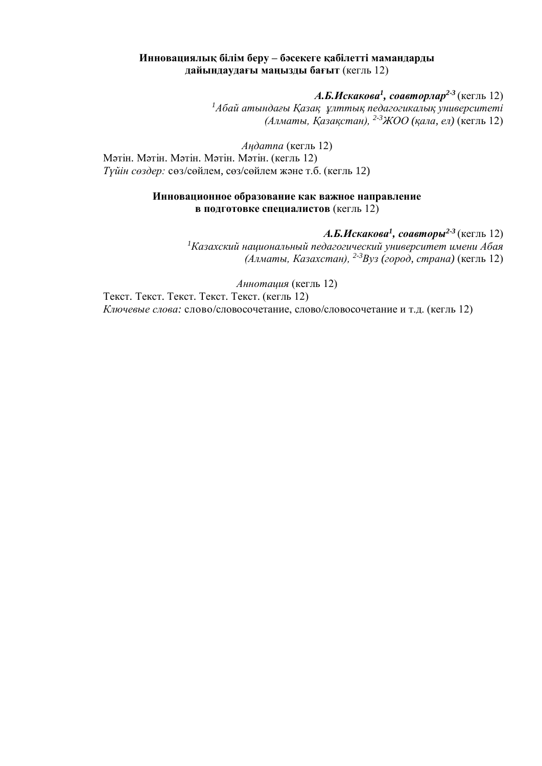### **Инновациялық білім беру – бәсекеге қабілетті мамандарды дайындаудағы маңызды бағыт** (кегль 12)

*А.Б.Искакова<sup>1</sup> , соавторлар2-3* (кегль 12) *<sup>1</sup>Абай атындағы Қазақ ұлттық педагогикалық университеті (Алматы, Қазақстан), 2-3ЖОО (қала, ел)* (кегль 12)

*Аңдатпа* (кегль 12) Мәтін. Мәтін. Мәтін. Мәтін. Мәтін. (кегль 12) *Түйін сөздер:* сөз/сөйлем, сөз/сөйлем және т.б. (кегль 12)

### **Инновационное образование как важное направление в подготовке специалистов** (кегль 12)

*А.Б.Искакова<sup>1</sup> , соавторы2-3* (кегль 12) *<sup>1</sup>Казахский национальный педагогический университет имени Абая (Алматы, Казахстан), 2-3Вуз (город, страна)* (кегль 12)

*Аннотация* (кегль 12)

Текст. Текст. Текст. Текст. Текст. (кегль 12) *Ключевые слова:* слово/словосочетание, слово/словосочетание и т.д. (кегль 12)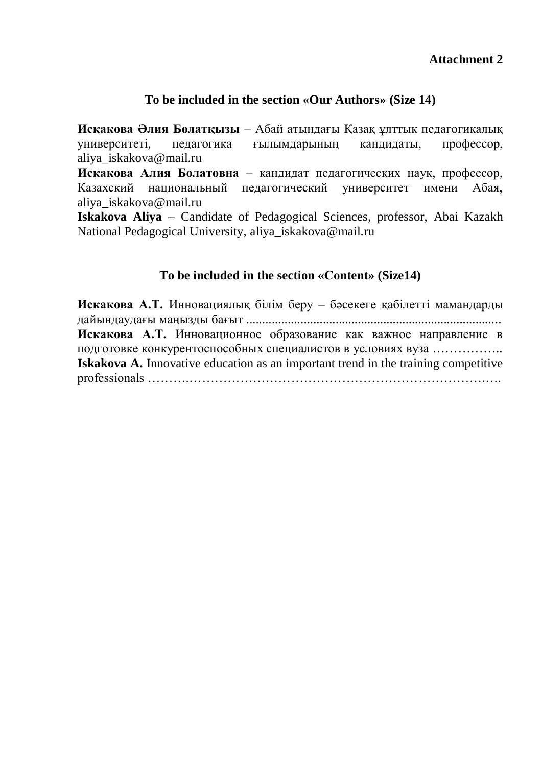# **To be included in the section «Our Authors» (Size 14)**

**Искакова Әлия Болатқызы** – Абай атындағы Қазақ ұлттық педагогикалық университеті, педагогика ғылымдарының кандидаты, профессор, aliya\_iskakova@mail.ru

**Искакова Алия Болатовна** – кандидат педагогических наук, профессор, Казахский национальный педагогический университет имени Абая, aliya\_iskakova@mail.ru

**Iskakova Aliya –** Candidate of Pedagogical Sciences, professor, Abai Kazakh National Pedagogical University, aliya\_iskakova@mail.ru

# **To be included in the section «Соntent» (Size14)**

**Искакова А.Т.** Инновациялық білім беру – бәсекеге қабілетті мамандарды дайындаудағы маңызды бағыт ................................................................................ **Искакова А.Т.** Инновационное образование как важное направление в подготовке конкурентоспособных специалистов в условиях вуза …………….. **Iskakova A.** Innovative education as an important trend in the training competitive professionals ……….…………………………………………………………….….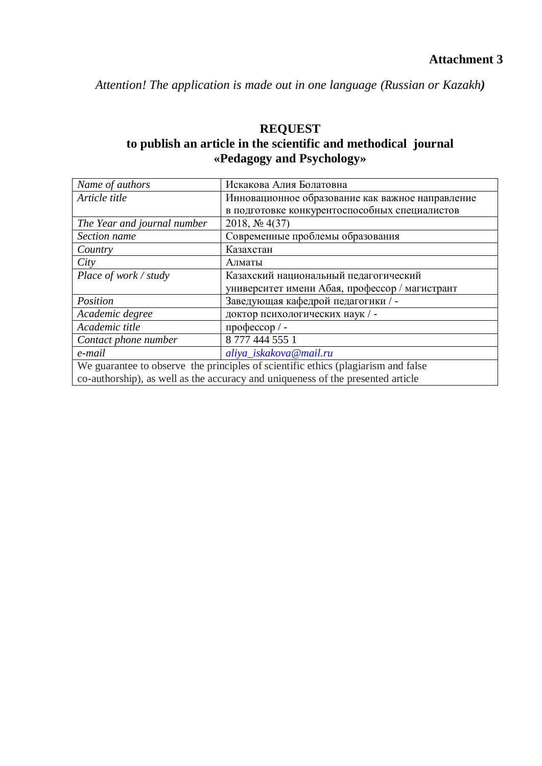*Attention! The application is made out in one language (Russian or Kazakh)* 

# **REQUEST to publish an article in the scientific and methodical journal «Pedagogy and Psychology»**

| Name of authors                                                                   | Искакова Алия Болатовна                          |  |
|-----------------------------------------------------------------------------------|--------------------------------------------------|--|
| Article title                                                                     | Инновационное образование как важное направление |  |
|                                                                                   | в подготовке конкурентоспособных специалистов    |  |
| The Year and journal number                                                       | 2018, $N_2$ 4(37)                                |  |
| Section name                                                                      | Современные проблемы образования                 |  |
| Country                                                                           | Казахстан                                        |  |
| City                                                                              | Алматы                                           |  |
| Place of work / study                                                             | Казахский национальный педагогический            |  |
|                                                                                   | университет имени Абая, профессор / магистрант   |  |
| Position                                                                          | Заведующая кафедрой педагогики / -               |  |
| Academic degree                                                                   | доктор психологических наук / -                  |  |
| Academic title                                                                    | профессор / -                                    |  |
| Contact phone number                                                              | 8 777 444 555 1                                  |  |
| e-mail                                                                            | aliya_iskakova@mail.ru                           |  |
| We guarantee to observe the principles of scientific ethics (plagiarism and false |                                                  |  |
| co-authorship), as well as the accuracy and uniqueness of the presented article   |                                                  |  |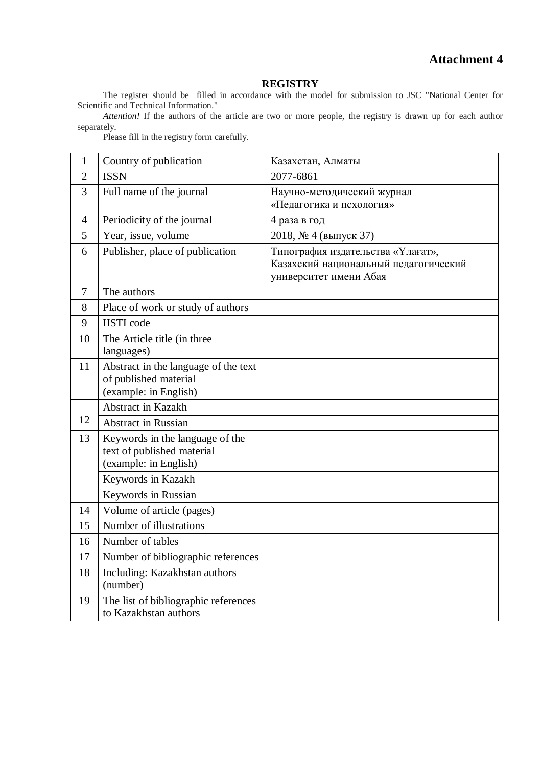# **Attachment 4**

#### **REGISTRY**

The register should be filled in accordance with the model for submission to JSC "National Center for Scientific and Technical Information."

*Attention!* If the authors of the article are two or more people, the registry is drawn up for each author separately.

| 1              | Country of publication                                                                 | Казахстан, Алматы                                                                                    |
|----------------|----------------------------------------------------------------------------------------|------------------------------------------------------------------------------------------------------|
| $\overline{2}$ | <b>ISSN</b>                                                                            | 2077-6861                                                                                            |
| 3              | Full name of the journal                                                               | Научно-методический журнал<br>«Педагогика и псхология»                                               |
| 4              | Periodicity of the journal                                                             | 4 раза в год                                                                                         |
| 5              | Year, issue, volume                                                                    | 2018, № 4 (выпуск 37)                                                                                |
| 6              | Publisher, place of publication                                                        | Типография издательства «Ұлағат»,<br>Казахский национальный педагогический<br>университет имени Абая |
| $\overline{7}$ | The authors                                                                            |                                                                                                      |
| 8              | Place of work or study of authors                                                      |                                                                                                      |
| 9              | <b>IISTI</b> code                                                                      |                                                                                                      |
| 10             | The Article title (in three<br>languages)                                              |                                                                                                      |
| 11             | Abstract in the language of the text<br>of published material<br>(example: in English) |                                                                                                      |
|                | Abstract in Kazakh                                                                     |                                                                                                      |
| 12             | <b>Abstract in Russian</b>                                                             |                                                                                                      |
| 13             | Keywords in the language of the<br>text of published material<br>(example: in English) |                                                                                                      |
|                | Keywords in Kazakh                                                                     |                                                                                                      |
|                | Keywords in Russian                                                                    |                                                                                                      |
| 14             | Volume of article (pages)                                                              |                                                                                                      |
| 15             | Number of illustrations                                                                |                                                                                                      |
| 16             | Number of tables                                                                       |                                                                                                      |
| 17             | Number of bibliographic references                                                     |                                                                                                      |
| 18             | Including: Kazakhstan authors<br>(number)                                              |                                                                                                      |
| 19             | The list of bibliographic references<br>to Kazakhstan authors                          |                                                                                                      |

Please fill in the registry form carefully.